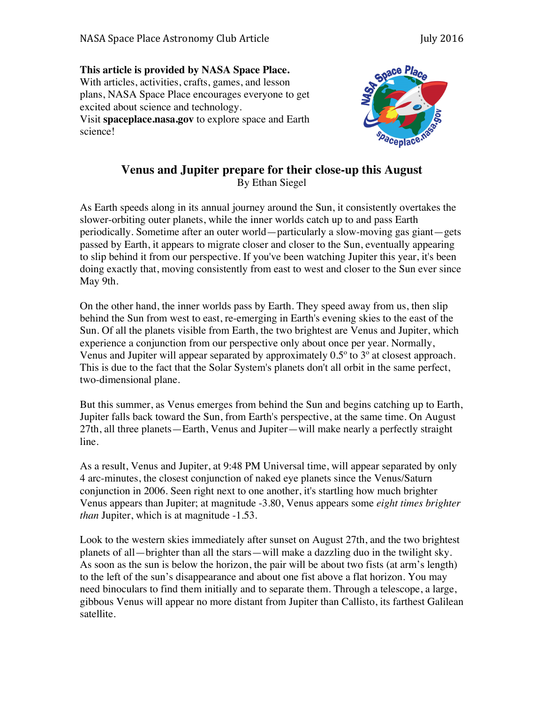**This article is provided by NASA Space Place.** With articles, activities, crafts, games, and lesson plans, NASA Space Place encourages everyone to get excited about science and technology. Visit **spaceplace.nasa.gov** to explore space and Earth

science!



## **Venus and Jupiter prepare for their close-up this August** By Ethan Siegel

As Earth speeds along in its annual journey around the Sun, it consistently overtakes the slower-orbiting outer planets, while the inner worlds catch up to and pass Earth periodically. Sometime after an outer world—particularly a slow-moving gas giant—gets passed by Earth, it appears to migrate closer and closer to the Sun, eventually appearing to slip behind it from our perspective. If you've been watching Jupiter this year, it's been doing exactly that, moving consistently from east to west and closer to the Sun ever since May 9th.

On the other hand, the inner worlds pass by Earth. They speed away from us, then slip behind the Sun from west to east, re-emerging in Earth's evening skies to the east of the Sun. Of all the planets visible from Earth, the two brightest are Venus and Jupiter, which experience a conjunction from our perspective only about once per year. Normally, Venus and Jupiter will appear separated by approximately 0.5º to 3º at closest approach. This is due to the fact that the Solar System's planets don't all orbit in the same perfect, two-dimensional plane.

But this summer, as Venus emerges from behind the Sun and begins catching up to Earth, Jupiter falls back toward the Sun, from Earth's perspective, at the same time. On August 27th, all three planets—Earth, Venus and Jupiter—will make nearly a perfectly straight line.

As a result, Venus and Jupiter, at 9:48 PM Universal time, will appear separated by only 4 arc-minutes, the closest conjunction of naked eye planets since the Venus/Saturn conjunction in 2006. Seen right next to one another, it's startling how much brighter Venus appears than Jupiter; at magnitude -3.80, Venus appears some *eight times brighter than* Jupiter, which is at magnitude -1.53.

Look to the western skies immediately after sunset on August 27th, and the two brightest planets of all—brighter than all the stars—will make a dazzling duo in the twilight sky. As soon as the sun is below the horizon, the pair will be about two fists (at arm's length) to the left of the sun's disappearance and about one fist above a flat horizon. You may need binoculars to find them initially and to separate them. Through a telescope, a large, gibbous Venus will appear no more distant from Jupiter than Callisto, its farthest Galilean satellite.